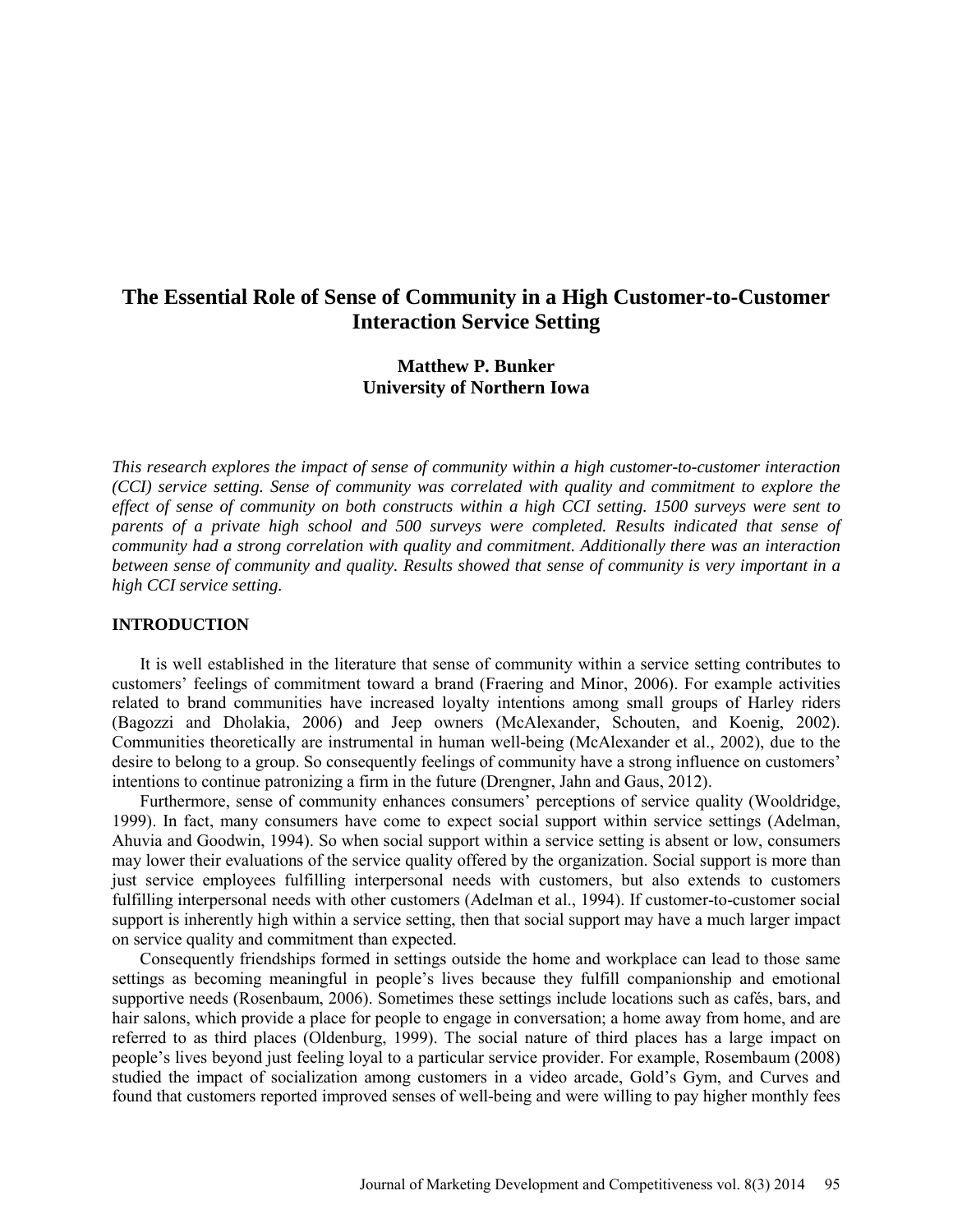# **The Essential Role of Sense of Community in a High Customer-to-Customer Interaction Service Setting**

# **Matthew P. Bunker University of Northern Iowa**

*This research explores the impact of sense of community within a high customer-to-customer interaction (CCI) service setting. Sense of community was correlated with quality and commitment to explore the effect of sense of community on both constructs within a high CCI setting. 1500 surveys were sent to parents of a private high school and 500 surveys were completed. Results indicated that sense of community had a strong correlation with quality and commitment. Additionally there was an interaction between sense of community and quality. Results showed that sense of community is very important in a high CCI service setting.* 

### **INTRODUCTION**

It is well established in the literature that sense of community within a service setting contributes to customers' feelings of commitment toward a brand (Fraering and Minor, 2006). For example activities related to brand communities have increased loyalty intentions among small groups of Harley riders (Bagozzi and Dholakia, 2006) and Jeep owners (McAlexander, Schouten, and Koenig, 2002). Communities theoretically are instrumental in human well-being (McAlexander et al., 2002), due to the desire to belong to a group. So consequently feelings of community have a strong influence on customers' intentions to continue patronizing a firm in the future (Drengner, Jahn and Gaus, 2012).

Furthermore, sense of community enhances consumers' perceptions of service quality (Wooldridge, 1999). In fact, many consumers have come to expect social support within service settings (Adelman, Ahuvia and Goodwin, 1994). So when social support within a service setting is absent or low, consumers may lower their evaluations of the service quality offered by the organization. Social support is more than just service employees fulfilling interpersonal needs with customers, but also extends to customers fulfilling interpersonal needs with other customers (Adelman et al., 1994). If customer-to-customer social support is inherently high within a service setting, then that social support may have a much larger impact on service quality and commitment than expected.

Consequently friendships formed in settings outside the home and workplace can lead to those same settings as becoming meaningful in people's lives because they fulfill companionship and emotional supportive needs (Rosenbaum, 2006). Sometimes these settings include locations such as cafés, bars, and hair salons, which provide a place for people to engage in conversation; a home away from home, and are referred to as third places (Oldenburg, 1999). The social nature of third places has a large impact on people's lives beyond just feeling loyal to a particular service provider. For example, Rosembaum (2008) studied the impact of socialization among customers in a video arcade, Gold's Gym, and Curves and found that customers reported improved senses of well-being and were willing to pay higher monthly fees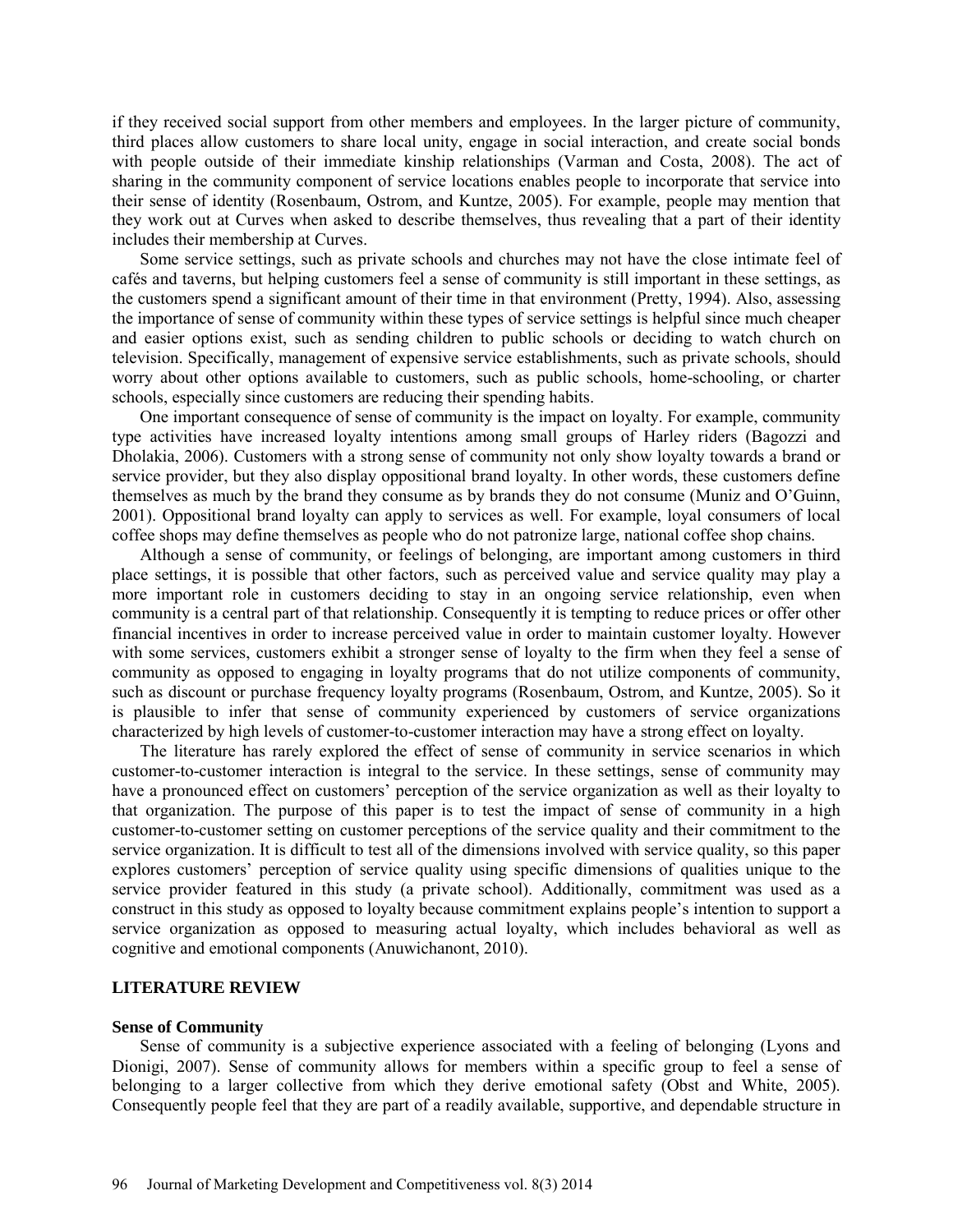if they received social support from other members and employees. In the larger picture of community, third places allow customers to share local unity, engage in social interaction, and create social bonds with people outside of their immediate kinship relationships (Varman and Costa, 2008). The act of sharing in the community component of service locations enables people to incorporate that service into their sense of identity (Rosenbaum, Ostrom, and Kuntze, 2005). For example, people may mention that they work out at Curves when asked to describe themselves, thus revealing that a part of their identity includes their membership at Curves.

Some service settings, such as private schools and churches may not have the close intimate feel of cafés and taverns, but helping customers feel a sense of community is still important in these settings, as the customers spend a significant amount of their time in that environment (Pretty, 1994). Also, assessing the importance of sense of community within these types of service settings is helpful since much cheaper and easier options exist, such as sending children to public schools or deciding to watch church on television. Specifically, management of expensive service establishments, such as private schools, should worry about other options available to customers, such as public schools, home-schooling, or charter schools, especially since customers are reducing their spending habits.

One important consequence of sense of community is the impact on loyalty. For example, community type activities have increased loyalty intentions among small groups of Harley riders (Bagozzi and Dholakia, 2006). Customers with a strong sense of community not only show loyalty towards a brand or service provider, but they also display oppositional brand loyalty. In other words, these customers define themselves as much by the brand they consume as by brands they do not consume (Muniz and O'Guinn, 2001). Oppositional brand loyalty can apply to services as well. For example, loyal consumers of local coffee shops may define themselves as people who do not patronize large, national coffee shop chains.

Although a sense of community, or feelings of belonging, are important among customers in third place settings, it is possible that other factors, such as perceived value and service quality may play a more important role in customers deciding to stay in an ongoing service relationship, even when community is a central part of that relationship. Consequently it is tempting to reduce prices or offer other financial incentives in order to increase perceived value in order to maintain customer loyalty. However with some services, customers exhibit a stronger sense of loyalty to the firm when they feel a sense of community as opposed to engaging in loyalty programs that do not utilize components of community, such as discount or purchase frequency loyalty programs (Rosenbaum, Ostrom, and Kuntze, 2005). So it is plausible to infer that sense of community experienced by customers of service organizations characterized by high levels of customer-to-customer interaction may have a strong effect on loyalty.

The literature has rarely explored the effect of sense of community in service scenarios in which customer-to-customer interaction is integral to the service. In these settings, sense of community may have a pronounced effect on customers' perception of the service organization as well as their loyalty to that organization. The purpose of this paper is to test the impact of sense of community in a high customer-to-customer setting on customer perceptions of the service quality and their commitment to the service organization. It is difficult to test all of the dimensions involved with service quality, so this paper explores customers' perception of service quality using specific dimensions of qualities unique to the service provider featured in this study (a private school). Additionally, commitment was used as a construct in this study as opposed to loyalty because commitment explains people's intention to support a service organization as opposed to measuring actual loyalty, which includes behavioral as well as cognitive and emotional components (Anuwichanont, 2010).

### **LITERATURE REVIEW**

#### **Sense of Community**

Sense of community is a subjective experience associated with a feeling of belonging (Lyons and Dionigi, 2007). Sense of community allows for members within a specific group to feel a sense of belonging to a larger collective from which they derive emotional safety (Obst and White, 2005). Consequently people feel that they are part of a readily available, supportive, and dependable structure in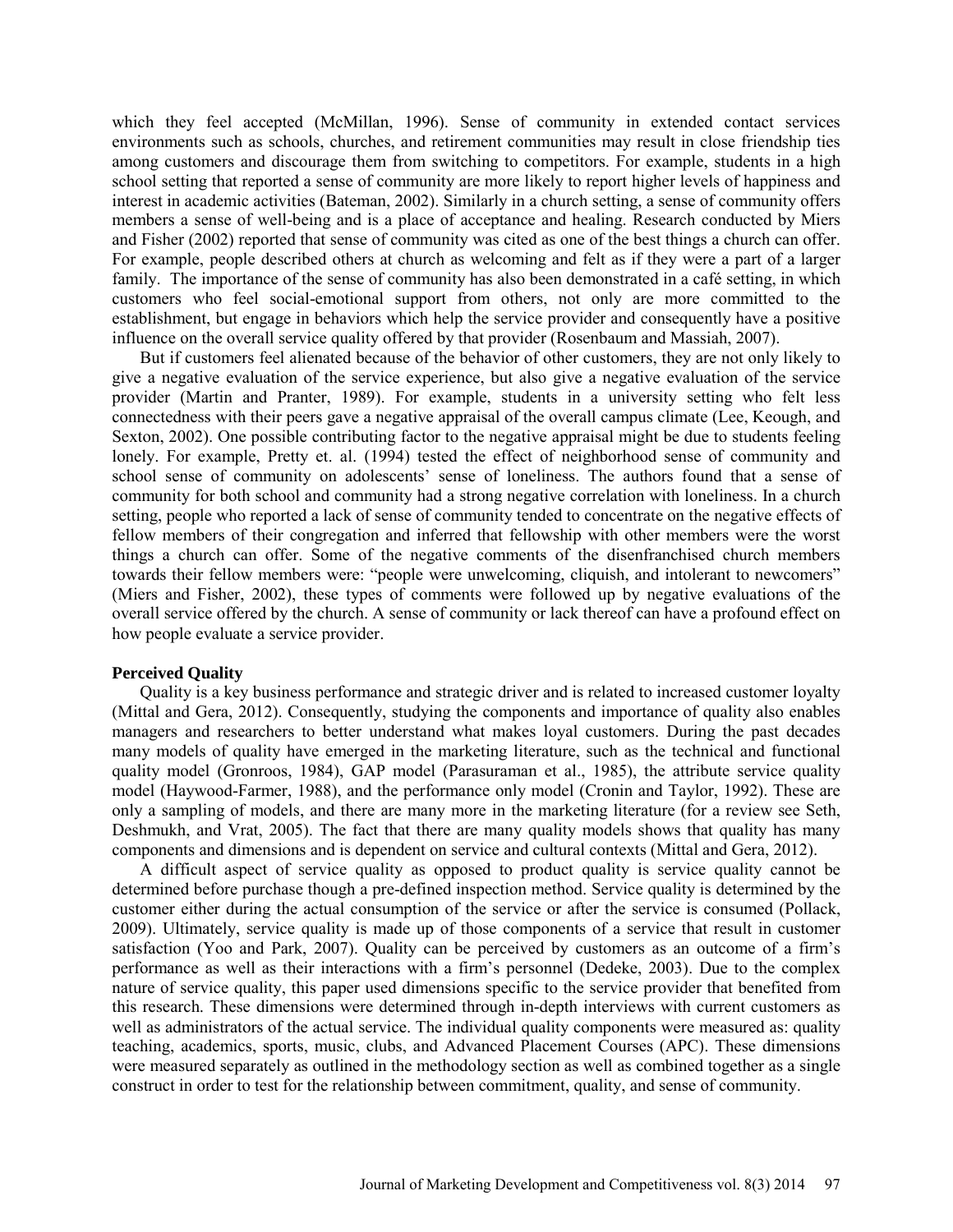which they feel accepted (McMillan, 1996). Sense of community in extended contact services environments such as schools, churches, and retirement communities may result in close friendship ties among customers and discourage them from switching to competitors. For example, students in a high school setting that reported a sense of community are more likely to report higher levels of happiness and interest in academic activities (Bateman, 2002). Similarly in a church setting, a sense of community offers members a sense of well-being and is a place of acceptance and healing. Research conducted by Miers and Fisher (2002) reported that sense of community was cited as one of the best things a church can offer. For example, people described others at church as welcoming and felt as if they were a part of a larger family. The importance of the sense of community has also been demonstrated in a café setting, in which customers who feel social-emotional support from others, not only are more committed to the establishment, but engage in behaviors which help the service provider and consequently have a positive influence on the overall service quality offered by that provider (Rosenbaum and Massiah, 2007).

But if customers feel alienated because of the behavior of other customers, they are not only likely to give a negative evaluation of the service experience, but also give a negative evaluation of the service provider (Martin and Pranter, 1989). For example, students in a university setting who felt less connectedness with their peers gave a negative appraisal of the overall campus climate (Lee, Keough, and Sexton, 2002). One possible contributing factor to the negative appraisal might be due to students feeling lonely. For example, Pretty et. al. (1994) tested the effect of neighborhood sense of community and school sense of community on adolescents' sense of loneliness. The authors found that a sense of community for both school and community had a strong negative correlation with loneliness. In a church setting, people who reported a lack of sense of community tended to concentrate on the negative effects of fellow members of their congregation and inferred that fellowship with other members were the worst things a church can offer. Some of the negative comments of the disenfranchised church members towards their fellow members were: "people were unwelcoming, cliquish, and intolerant to newcomers" (Miers and Fisher, 2002), these types of comments were followed up by negative evaluations of the overall service offered by the church. A sense of community or lack thereof can have a profound effect on how people evaluate a service provider.

#### **Perceived Quality**

Quality is a key business performance and strategic driver and is related to increased customer loyalty (Mittal and Gera, 2012). Consequently, studying the components and importance of quality also enables managers and researchers to better understand what makes loyal customers. During the past decades many models of quality have emerged in the marketing literature, such as the technical and functional quality model (Gronroos, 1984), GAP model (Parasuraman et al., 1985), the attribute service quality model (Haywood-Farmer, 1988), and the performance only model (Cronin and Taylor, 1992). These are only a sampling of models, and there are many more in the marketing literature (for a review see Seth, Deshmukh, and Vrat, 2005). The fact that there are many quality models shows that quality has many components and dimensions and is dependent on service and cultural contexts (Mittal and Gera, 2012).

A difficult aspect of service quality as opposed to product quality is service quality cannot be determined before purchase though a pre-defined inspection method. Service quality is determined by the customer either during the actual consumption of the service or after the service is consumed (Pollack, 2009). Ultimately, service quality is made up of those components of a service that result in customer satisfaction (Yoo and Park, 2007). Quality can be perceived by customers as an outcome of a firm's performance as well as their interactions with a firm's personnel (Dedeke, 2003). Due to the complex nature of service quality, this paper used dimensions specific to the service provider that benefited from this research. These dimensions were determined through in-depth interviews with current customers as well as administrators of the actual service. The individual quality components were measured as: quality teaching, academics, sports, music, clubs, and Advanced Placement Courses (APC). These dimensions were measured separately as outlined in the methodology section as well as combined together as a single construct in order to test for the relationship between commitment, quality, and sense of community.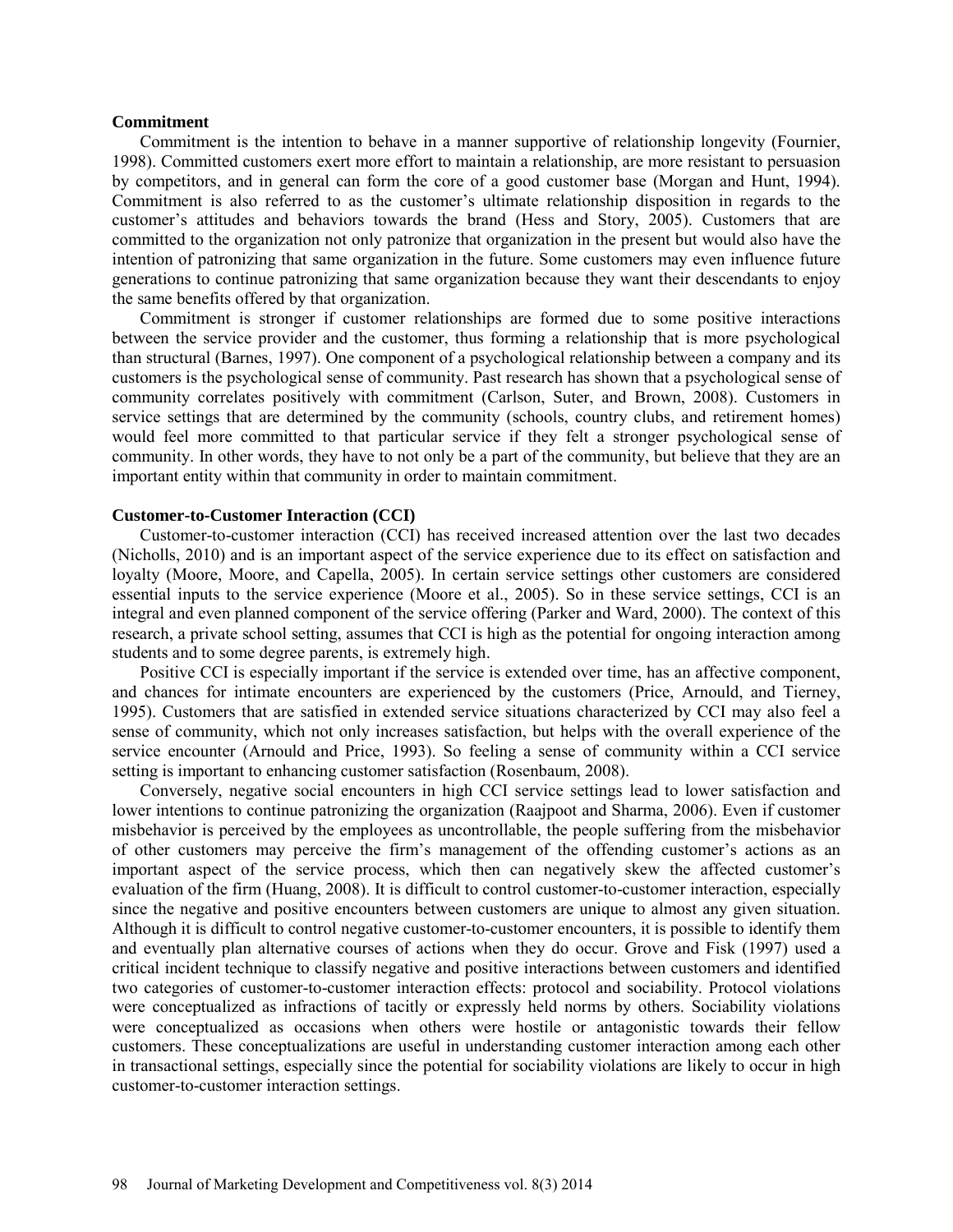#### **Commitment**

Commitment is the intention to behave in a manner supportive of relationship longevity (Fournier, 1998). Committed customers exert more effort to maintain a relationship, are more resistant to persuasion by competitors, and in general can form the core of a good customer base (Morgan and Hunt, 1994). Commitment is also referred to as the customer's ultimate relationship disposition in regards to the customer's attitudes and behaviors towards the brand (Hess and Story, 2005). Customers that are committed to the organization not only patronize that organization in the present but would also have the intention of patronizing that same organization in the future. Some customers may even influence future generations to continue patronizing that same organization because they want their descendants to enjoy the same benefits offered by that organization.

Commitment is stronger if customer relationships are formed due to some positive interactions between the service provider and the customer, thus forming a relationship that is more psychological than structural (Barnes, 1997). One component of a psychological relationship between a company and its customers is the psychological sense of community. Past research has shown that a psychological sense of community correlates positively with commitment (Carlson, Suter, and Brown, 2008). Customers in service settings that are determined by the community (schools, country clubs, and retirement homes) would feel more committed to that particular service if they felt a stronger psychological sense of community. In other words, they have to not only be a part of the community, but believe that they are an important entity within that community in order to maintain commitment.

### **Customer-to-Customer Interaction (CCI)**

Customer-to-customer interaction (CCI) has received increased attention over the last two decades (Nicholls, 2010) and is an important aspect of the service experience due to its effect on satisfaction and loyalty (Moore, Moore, and Capella, 2005). In certain service settings other customers are considered essential inputs to the service experience (Moore et al., 2005). So in these service settings, CCI is an integral and even planned component of the service offering (Parker and Ward, 2000). The context of this research, a private school setting, assumes that CCI is high as the potential for ongoing interaction among students and to some degree parents, is extremely high.

Positive CCI is especially important if the service is extended over time, has an affective component, and chances for intimate encounters are experienced by the customers (Price, Arnould, and Tierney, 1995). Customers that are satisfied in extended service situations characterized by CCI may also feel a sense of community, which not only increases satisfaction, but helps with the overall experience of the service encounter (Arnould and Price, 1993). So feeling a sense of community within a CCI service setting is important to enhancing customer satisfaction (Rosenbaum, 2008).

Conversely, negative social encounters in high CCI service settings lead to lower satisfaction and lower intentions to continue patronizing the organization (Raajpoot and Sharma, 2006). Even if customer misbehavior is perceived by the employees as uncontrollable, the people suffering from the misbehavior of other customers may perceive the firm's management of the offending customer's actions as an important aspect of the service process, which then can negatively skew the affected customer's evaluation of the firm (Huang, 2008). It is difficult to control customer-to-customer interaction, especially since the negative and positive encounters between customers are unique to almost any given situation. Although it is difficult to control negative customer-to-customer encounters, it is possible to identify them and eventually plan alternative courses of actions when they do occur. Grove and Fisk (1997) used a critical incident technique to classify negative and positive interactions between customers and identified two categories of customer-to-customer interaction effects: protocol and sociability. Protocol violations were conceptualized as infractions of tacitly or expressly held norms by others. Sociability violations were conceptualized as occasions when others were hostile or antagonistic towards their fellow customers. These conceptualizations are useful in understanding customer interaction among each other in transactional settings, especially since the potential for sociability violations are likely to occur in high customer-to-customer interaction settings.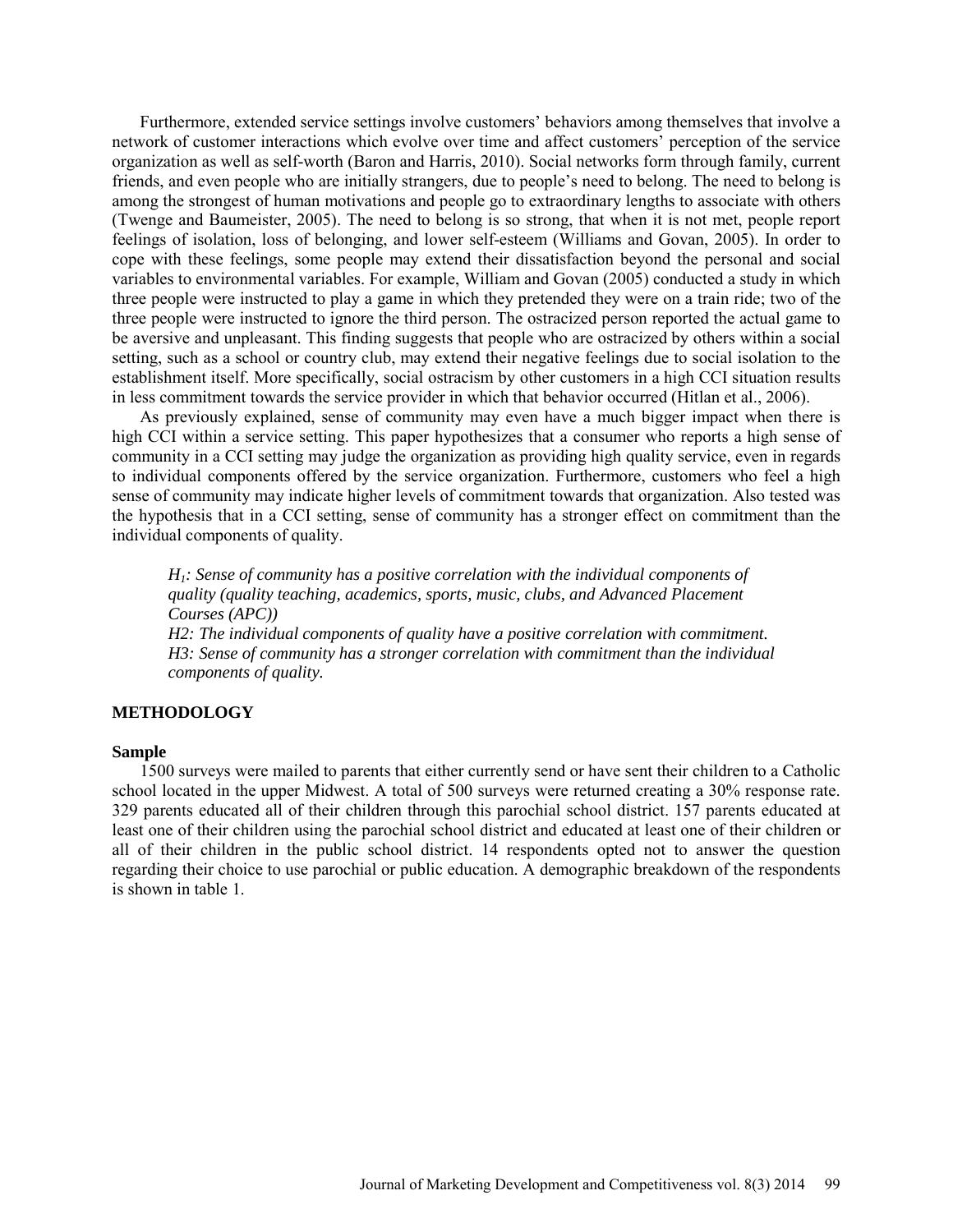Furthermore, extended service settings involve customers' behaviors among themselves that involve a network of customer interactions which evolve over time and affect customers' perception of the service organization as well as self-worth (Baron and Harris, 2010). Social networks form through family, current friends, and even people who are initially strangers, due to people's need to belong. The need to belong is among the strongest of human motivations and people go to extraordinary lengths to associate with others (Twenge and Baumeister, 2005). The need to belong is so strong, that when it is not met, people report feelings of isolation, loss of belonging, and lower self-esteem (Williams and Govan, 2005). In order to cope with these feelings, some people may extend their dissatisfaction beyond the personal and social variables to environmental variables. For example, William and Govan (2005) conducted a study in which three people were instructed to play a game in which they pretended they were on a train ride; two of the three people were instructed to ignore the third person. The ostracized person reported the actual game to be aversive and unpleasant. This finding suggests that people who are ostracized by others within a social setting, such as a school or country club, may extend their negative feelings due to social isolation to the establishment itself. More specifically, social ostracism by other customers in a high CCI situation results in less commitment towards the service provider in which that behavior occurred (Hitlan et al., 2006).

As previously explained, sense of community may even have a much bigger impact when there is high CCI within a service setting. This paper hypothesizes that a consumer who reports a high sense of community in a CCI setting may judge the organization as providing high quality service, even in regards to individual components offered by the service organization. Furthermore, customers who feel a high sense of community may indicate higher levels of commitment towards that organization. Also tested was the hypothesis that in a CCI setting, sense of community has a stronger effect on commitment than the individual components of quality.

*H1: Sense of community has a positive correlation with the individual components of quality (quality teaching, academics, sports, music, clubs, and Advanced Placement Courses (APC))*

*H2: The individual components of quality have a positive correlation with commitment. H3: Sense of community has a stronger correlation with commitment than the individual components of quality.* 

### **METHODOLOGY**

### **Sample**

1500 surveys were mailed to parents that either currently send or have sent their children to a Catholic school located in the upper Midwest. A total of 500 surveys were returned creating a 30% response rate. 329 parents educated all of their children through this parochial school district. 157 parents educated at least one of their children using the parochial school district and educated at least one of their children or all of their children in the public school district. 14 respondents opted not to answer the question regarding their choice to use parochial or public education. A demographic breakdown of the respondents is shown in table 1.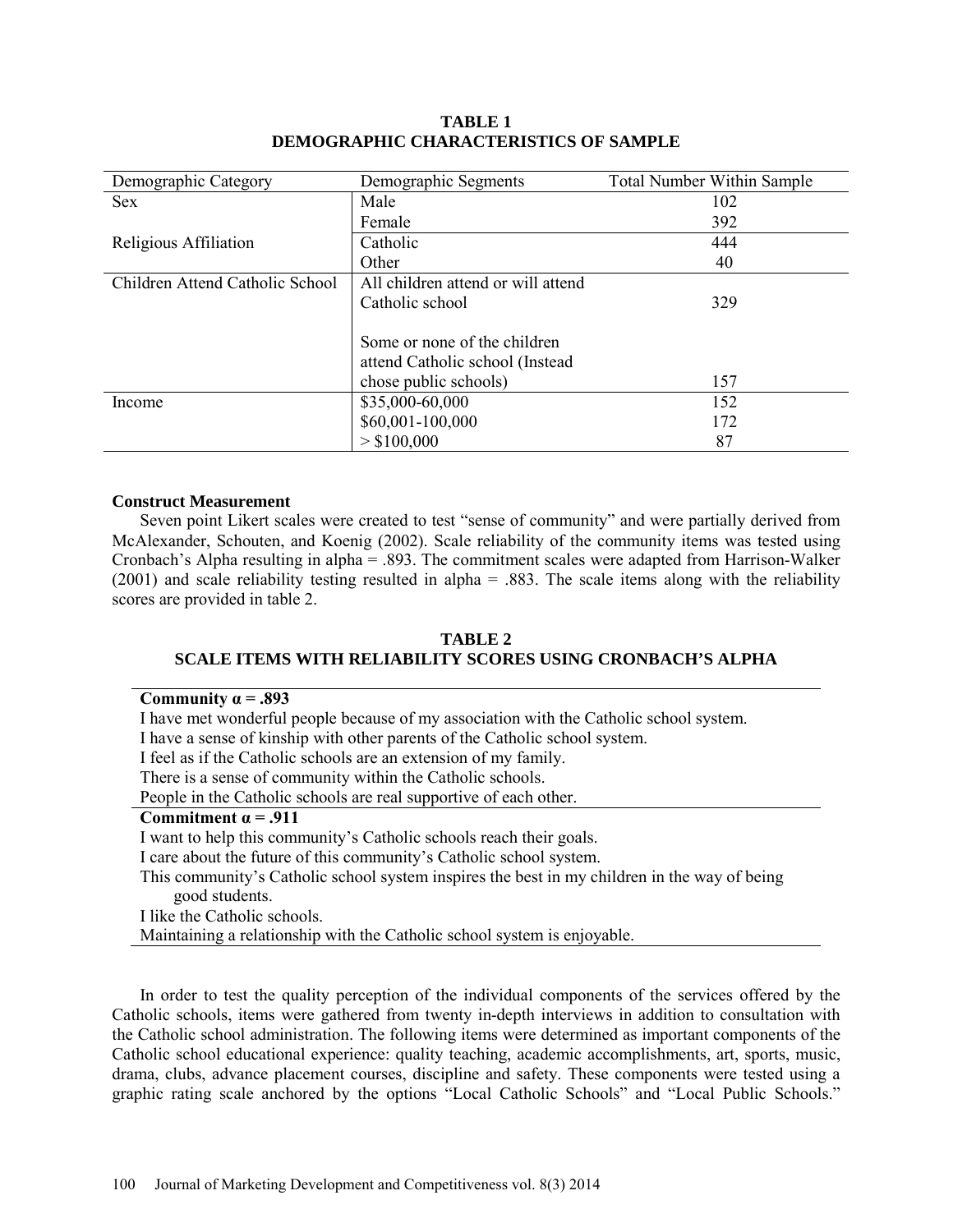| Demographic Category            | Demographic Segments               | <b>Total Number Within Sample</b> |
|---------------------------------|------------------------------------|-----------------------------------|
| <b>Sex</b>                      | Male                               | 102                               |
|                                 | Female                             | 392                               |
| Religious Affiliation           | Catholic                           | 444                               |
|                                 | Other                              | 40                                |
| Children Attend Catholic School | All children attend or will attend |                                   |
|                                 | Catholic school                    | 329                               |
|                                 |                                    |                                   |
|                                 | Some or none of the children       |                                   |
|                                 | attend Catholic school (Instead)   |                                   |
|                                 | chose public schools)              | 157                               |
| Income                          | \$35,000-60,000                    | 152                               |
|                                 | \$60,001-100,000                   | 172                               |
|                                 | > \$100,000                        | 87                                |

# **TABLE 1 DEMOGRAPHIC CHARACTERISTICS OF SAMPLE**

### **Construct Measurement**

Seven point Likert scales were created to test "sense of community" and were partially derived from McAlexander, Schouten, and Koenig (2002). Scale reliability of the community items was tested using Cronbach's Alpha resulting in alpha = .893. The commitment scales were adapted from Harrison-Walker (2001) and scale reliability testing resulted in alpha = .883. The scale items along with the reliability scores are provided in table 2.

### **TABLE 2 SCALE ITEMS WITH RELIABILITY SCORES USING CRONBACH'S ALPHA**

| Community $\alpha = .893$                                                                    |
|----------------------------------------------------------------------------------------------|
| I have met wonderful people because of my association with the Catholic school system.       |
| I have a sense of kinship with other parents of the Catholic school system.                  |
| I feel as if the Catholic schools are an extension of my family.                             |
| There is a sense of community within the Catholic schools.                                   |
| People in the Catholic schools are real supportive of each other.                            |
|                                                                                              |
| Commitment $\alpha$ = .911                                                                   |
| I want to help this community's Catholic schools reach their goals.                          |
| I care about the future of this community's Catholic school system.                          |
| This community's Catholic school system inspires the best in my children in the way of being |
| good students.                                                                               |

Maintaining a relationship with the Catholic school system is enjoyable.

In order to test the quality perception of the individual components of the services offered by the Catholic schools, items were gathered from twenty in-depth interviews in addition to consultation with the Catholic school administration. The following items were determined as important components of the Catholic school educational experience: quality teaching, academic accomplishments, art, sports, music, drama, clubs, advance placement courses, discipline and safety. These components were tested using a graphic rating scale anchored by the options "Local Catholic Schools" and "Local Public Schools."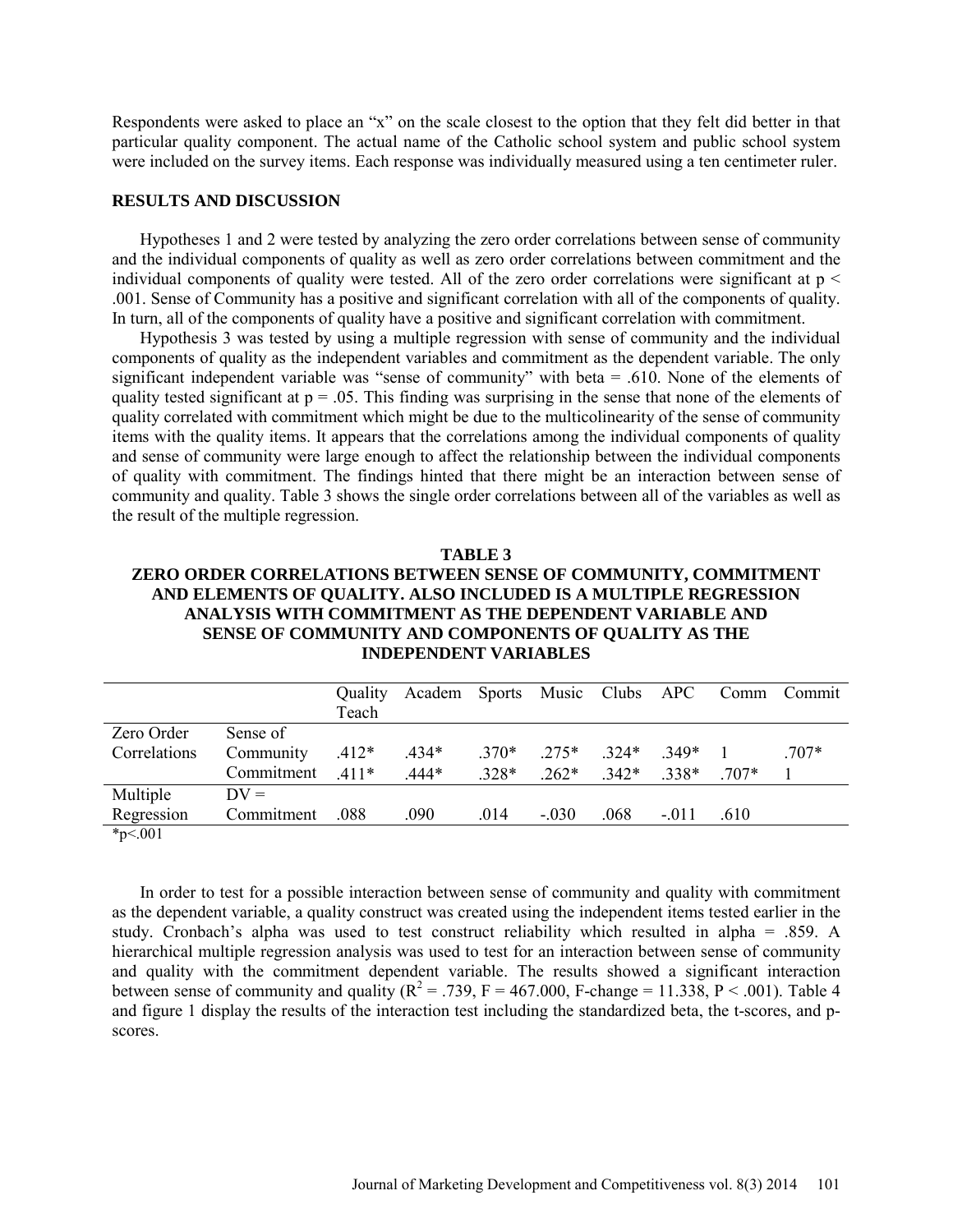Respondents were asked to place an "x" on the scale closest to the option that they felt did better in that particular quality component. The actual name of the Catholic school system and public school system were included on the survey items. Each response was individually measured using a ten centimeter ruler.

### **RESULTS AND DISCUSSION**

Hypotheses 1 and 2 were tested by analyzing the zero order correlations between sense of community and the individual components of quality as well as zero order correlations between commitment and the individual components of quality were tested. All of the zero order correlations were significant at  $p <$ .001. Sense of Community has a positive and significant correlation with all of the components of quality. In turn, all of the components of quality have a positive and significant correlation with commitment.

Hypothesis 3 was tested by using a multiple regression with sense of community and the individual components of quality as the independent variables and commitment as the dependent variable. The only significant independent variable was "sense of community" with beta = .610. None of the elements of quality tested significant at  $p = 0.05$ . This finding was surprising in the sense that none of the elements of quality correlated with commitment which might be due to the multicolinearity of the sense of community items with the quality items. It appears that the correlations among the individual components of quality and sense of community were large enough to affect the relationship between the individual components of quality with commitment. The findings hinted that there might be an interaction between sense of community and quality. Table 3 shows the single order correlations between all of the variables as well as the result of the multiple regression.

#### **TABLE 3**

# **ZERO ORDER CORRELATIONS BETWEEN SENSE OF COMMUNITY, COMMITMENT AND ELEMENTS OF QUALITY. ALSO INCLUDED IS A MULTIPLE REGRESSION ANALYSIS WITH COMMITMENT AS THE DEPENDENT VARIABLE AND SENSE OF COMMUNITY AND COMPONENTS OF QUALITY AS THE INDEPENDENT VARIABLES**

|              |            | Quality | Academ Sports Music Clubs APC |         |         |         |         |      | Comm Commit |
|--------------|------------|---------|-------------------------------|---------|---------|---------|---------|------|-------------|
|              |            | Teach   |                               |         |         |         |         |      |             |
| Zero Order   | Sense of   |         |                               |         |         |         |         |      |             |
| Correlations | Community  | $.412*$ | $.434*$                       | $.370*$ | $275*$  | $324*$  | 349*    |      | $707*$      |
|              | Commitment | $.411*$ | $.444*$                       | $.328*$ | $.262*$ | $.342*$ | 338*    | 707* |             |
| Multiple     | $DV =$     |         |                               |         |         |         |         |      |             |
| Regression   | Commitment | .088    | .090                          | .014    | $-.030$ | .068    | $-.011$ | .610 |             |
| 4.701        |            |         |                               |         |         |         |         |      |             |

\*p<.001

In order to test for a possible interaction between sense of community and quality with commitment as the dependent variable, a quality construct was created using the independent items tested earlier in the study. Cronbach's alpha was used to test construct reliability which resulted in alpha = .859. A hierarchical multiple regression analysis was used to test for an interaction between sense of community and quality with the commitment dependent variable. The results showed a significant interaction between sense of community and quality  $(R^2 = .739, F = 467.000, F$ -change = 11.338, P < .001). Table 4 and figure 1 display the results of the interaction test including the standardized beta, the t-scores, and pscores.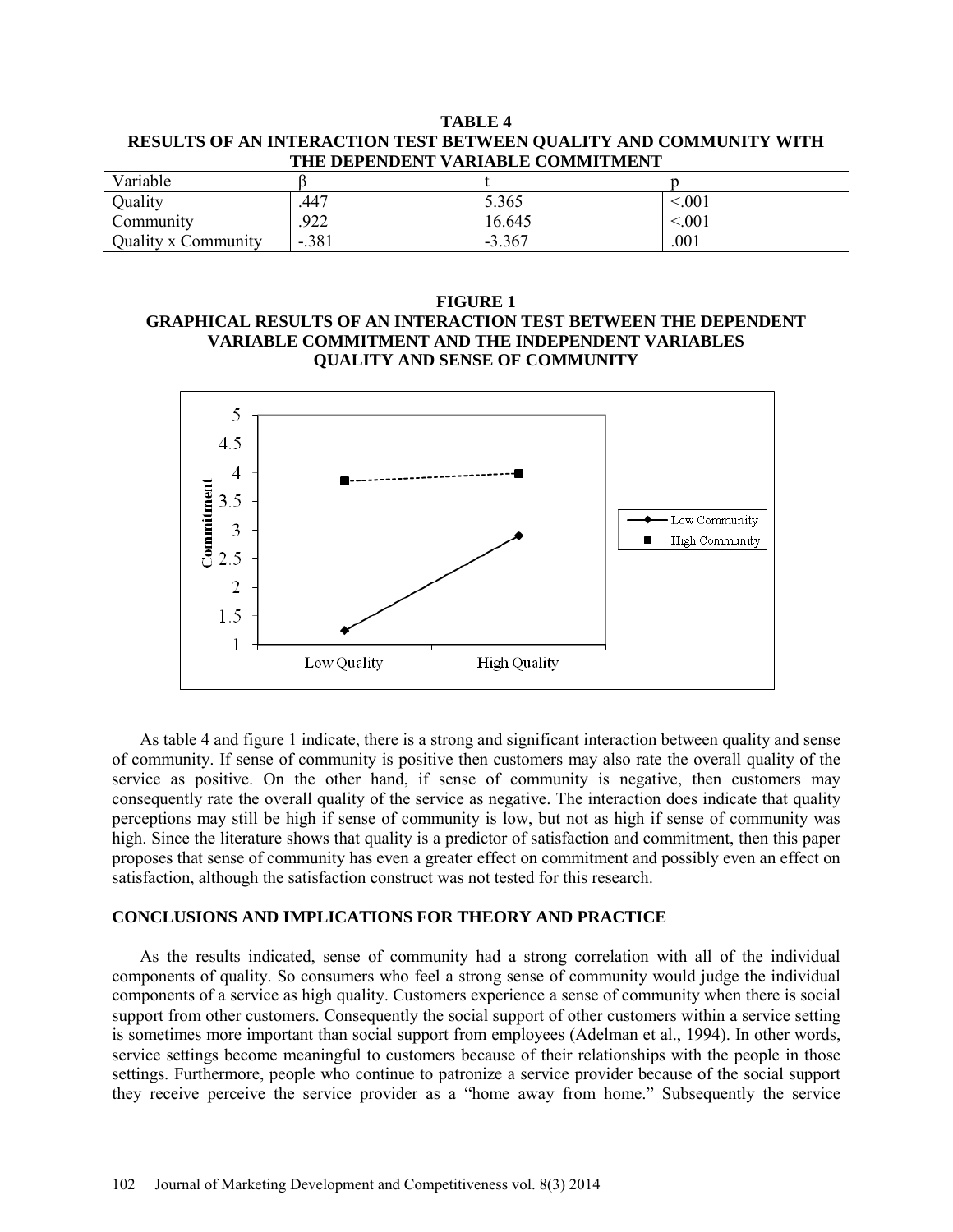|                                   |                                                                   | TABLE 4 |  |  |  |
|-----------------------------------|-------------------------------------------------------------------|---------|--|--|--|
|                                   | RESULTS OF AN INTERACTION TEST BETWEEN QUALITY AND COMMUNITY WITH |         |  |  |  |
| THE DEPENDENT VARIABLE COMMITMENT |                                                                   |         |  |  |  |
| $V$ oriobla                       |                                                                   |         |  |  |  |

| Variable            |         |          |            |
|---------------------|---------|----------|------------|
| Quality             | .447    | 5.365    | $\leq 001$ |
| Community           | .922    | 16.645   | < 001      |
| Quality x Community | $-.381$ | $-3.367$ | .001       |

# **FIGURE 1 GRAPHICAL RESULTS OF AN INTERACTION TEST BETWEEN THE DEPENDENT VARIABLE COMMITMENT AND THE INDEPENDENT VARIABLES QUALITY AND SENSE OF COMMUNITY**



As table 4 and figure 1 indicate, there is a strong and significant interaction between quality and sense of community. If sense of community is positive then customers may also rate the overall quality of the service as positive. On the other hand, if sense of community is negative, then customers may consequently rate the overall quality of the service as negative. The interaction does indicate that quality perceptions may still be high if sense of community is low, but not as high if sense of community was high. Since the literature shows that quality is a predictor of satisfaction and commitment, then this paper proposes that sense of community has even a greater effect on commitment and possibly even an effect on satisfaction, although the satisfaction construct was not tested for this research.

### **CONCLUSIONS AND IMPLICATIONS FOR THEORY AND PRACTICE**

As the results indicated, sense of community had a strong correlation with all of the individual components of quality. So consumers who feel a strong sense of community would judge the individual components of a service as high quality. Customers experience a sense of community when there is social support from other customers. Consequently the social support of other customers within a service setting is sometimes more important than social support from employees (Adelman et al., 1994). In other words, service settings become meaningful to customers because of their relationships with the people in those settings. Furthermore, people who continue to patronize a service provider because of the social support they receive perceive the service provider as a "home away from home." Subsequently the service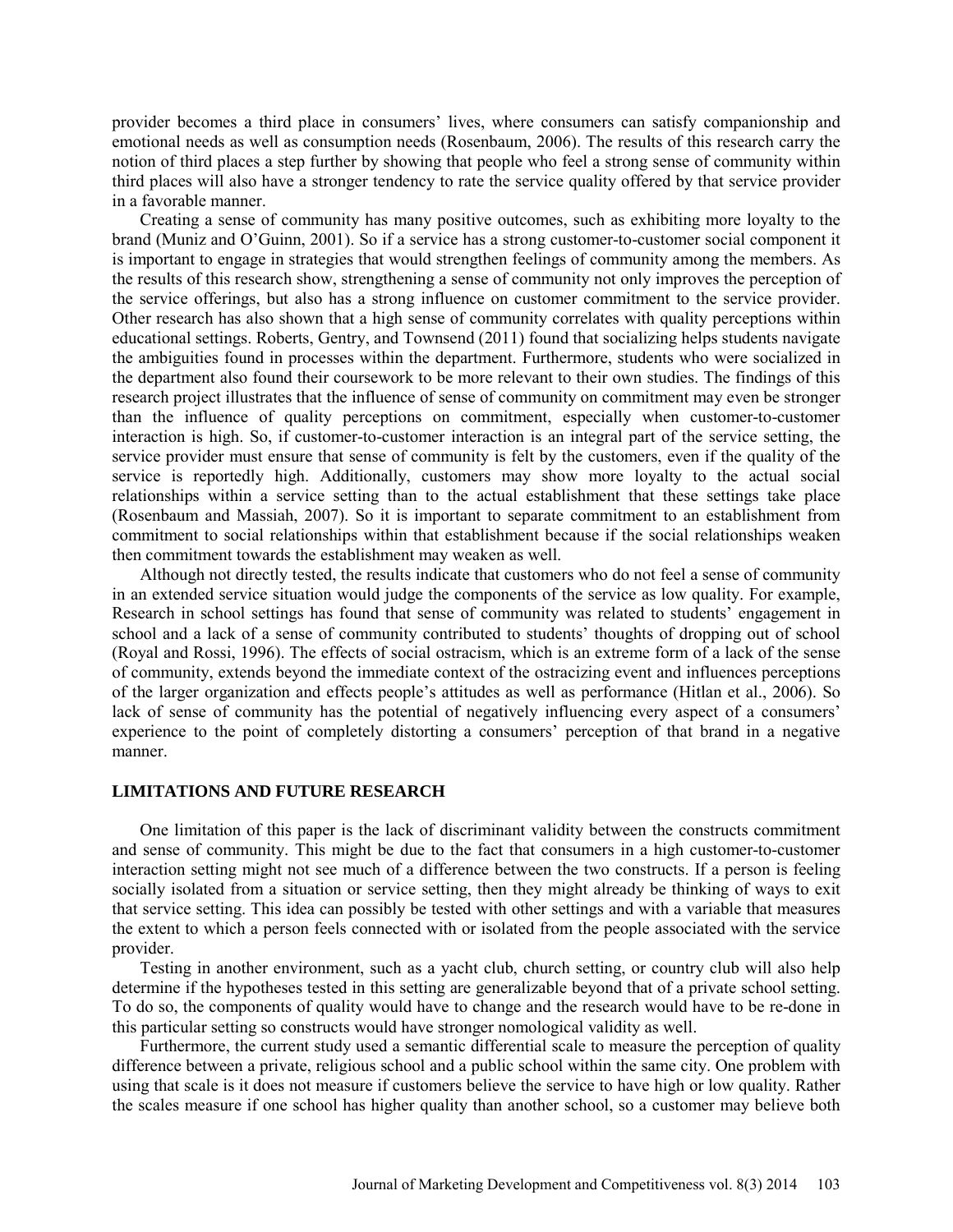provider becomes a third place in consumers' lives, where consumers can satisfy companionship and emotional needs as well as consumption needs (Rosenbaum, 2006). The results of this research carry the notion of third places a step further by showing that people who feel a strong sense of community within third places will also have a stronger tendency to rate the service quality offered by that service provider in a favorable manner.

Creating a sense of community has many positive outcomes, such as exhibiting more loyalty to the brand (Muniz and O'Guinn, 2001). So if a service has a strong customer-to-customer social component it is important to engage in strategies that would strengthen feelings of community among the members. As the results of this research show, strengthening a sense of community not only improves the perception of the service offerings, but also has a strong influence on customer commitment to the service provider. Other research has also shown that a high sense of community correlates with quality perceptions within educational settings. Roberts, Gentry, and Townsend (2011) found that socializing helps students navigate the ambiguities found in processes within the department. Furthermore, students who were socialized in the department also found their coursework to be more relevant to their own studies. The findings of this research project illustrates that the influence of sense of community on commitment may even be stronger than the influence of quality perceptions on commitment, especially when customer-to-customer interaction is high. So, if customer-to-customer interaction is an integral part of the service setting, the service provider must ensure that sense of community is felt by the customers, even if the quality of the service is reportedly high. Additionally, customers may show more loyalty to the actual social relationships within a service setting than to the actual establishment that these settings take place (Rosenbaum and Massiah, 2007). So it is important to separate commitment to an establishment from commitment to social relationships within that establishment because if the social relationships weaken then commitment towards the establishment may weaken as well.

Although not directly tested, the results indicate that customers who do not feel a sense of community in an extended service situation would judge the components of the service as low quality. For example, Research in school settings has found that sense of community was related to students' engagement in school and a lack of a sense of community contributed to students' thoughts of dropping out of school (Royal and Rossi, 1996). The effects of social ostracism, which is an extreme form of a lack of the sense of community, extends beyond the immediate context of the ostracizing event and influences perceptions of the larger organization and effects people's attitudes as well as performance (Hitlan et al., 2006). So lack of sense of community has the potential of negatively influencing every aspect of a consumers' experience to the point of completely distorting a consumers' perception of that brand in a negative manner.

### **LIMITATIONS AND FUTURE RESEARCH**

One limitation of this paper is the lack of discriminant validity between the constructs commitment and sense of community. This might be due to the fact that consumers in a high customer-to-customer interaction setting might not see much of a difference between the two constructs. If a person is feeling socially isolated from a situation or service setting, then they might already be thinking of ways to exit that service setting. This idea can possibly be tested with other settings and with a variable that measures the extent to which a person feels connected with or isolated from the people associated with the service provider.

Testing in another environment, such as a yacht club, church setting, or country club will also help determine if the hypotheses tested in this setting are generalizable beyond that of a private school setting. To do so, the components of quality would have to change and the research would have to be re-done in this particular setting so constructs would have stronger nomological validity as well.

Furthermore, the current study used a semantic differential scale to measure the perception of quality difference between a private, religious school and a public school within the same city. One problem with using that scale is it does not measure if customers believe the service to have high or low quality. Rather the scales measure if one school has higher quality than another school, so a customer may believe both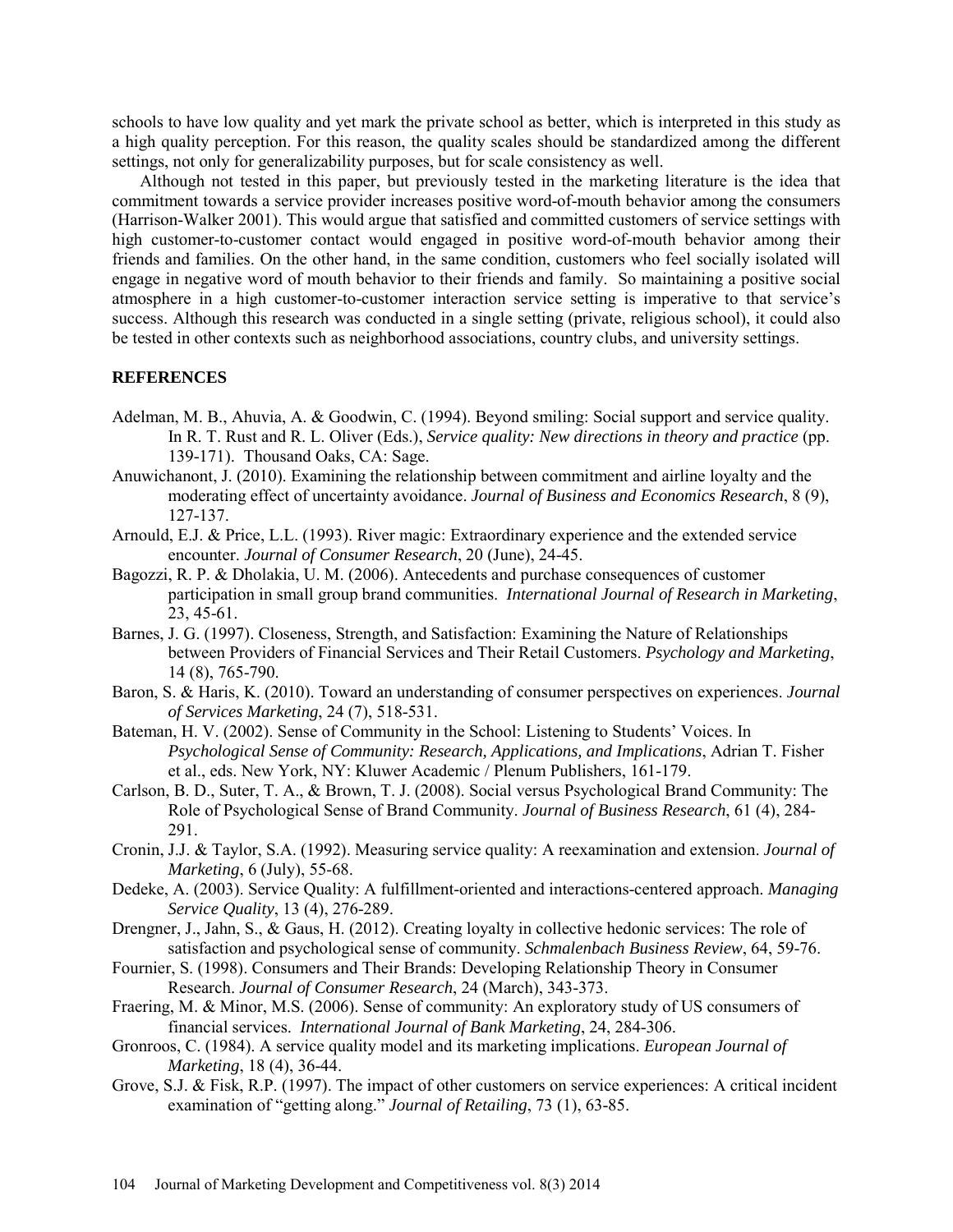schools to have low quality and yet mark the private school as better, which is interpreted in this study as a high quality perception. For this reason, the quality scales should be standardized among the different settings, not only for generalizability purposes, but for scale consistency as well.

Although not tested in this paper, but previously tested in the marketing literature is the idea that commitment towards a service provider increases positive word-of-mouth behavior among the consumers (Harrison-Walker 2001). This would argue that satisfied and committed customers of service settings with high customer-to-customer contact would engaged in positive word-of-mouth behavior among their friends and families. On the other hand, in the same condition, customers who feel socially isolated will engage in negative word of mouth behavior to their friends and family. So maintaining a positive social atmosphere in a high customer-to-customer interaction service setting is imperative to that service's success. Although this research was conducted in a single setting (private, religious school), it could also be tested in other contexts such as neighborhood associations, country clubs, and university settings.

### **REFERENCES**

- Adelman, M. B., Ahuvia, A. & Goodwin, C. (1994). Beyond smiling: Social support and service quality. In R. T. Rust and R. L. Oliver (Eds.), *Service quality: New directions in theory and practice* (pp. 139-171). Thousand Oaks, CA: Sage.
- Anuwichanont, J. (2010). Examining the relationship between commitment and airline loyalty and the moderating effect of uncertainty avoidance. *Journal of Business and Economics Research*, 8 (9), 127-137.
- Arnould, E.J. & Price, L.L. (1993). River magic: Extraordinary experience and the extended service encounter. *Journal of Consumer Research*, 20 (June), 24-45.
- Bagozzi, R. P. & Dholakia, U. M. (2006). Antecedents and purchase consequences of customer participation in small group brand communities. *International Journal of Research in Marketing*, 23, 45-61.
- Barnes, J. G. (1997). Closeness, Strength, and Satisfaction: Examining the Nature of Relationships between Providers of Financial Services and Their Retail Customers. *Psychology and Marketing*, 14 (8), 765-790.
- Baron, S. & Haris, K. (2010). Toward an understanding of consumer perspectives on experiences. *Journal of Services Marketing*, 24 (7), 518-531.
- Bateman, H. V. (2002). Sense of Community in the School: Listening to Students' Voices. In *Psychological Sense of Community: Research, Applications, and Implications*, Adrian T. Fisher et al., eds. New York, NY: Kluwer Academic / Plenum Publishers, 161-179.
- Carlson, B. D., Suter, T. A., & Brown, T. J. (2008). Social versus Psychological Brand Community: The Role of Psychological Sense of Brand Community. *Journal of Business Research*, 61 (4), 284- 291.
- Cronin, J.J. & Taylor, S.A. (1992). Measuring service quality: A reexamination and extension. *Journal of Marketing*, 6 (July), 55-68.
- Dedeke, A. (2003). Service Quality: A fulfillment-oriented and interactions-centered approach. *Managing Service Quality*, 13 (4), 276-289.
- Drengner, J., Jahn, S., & Gaus, H. (2012). Creating loyalty in collective hedonic services: The role of satisfaction and psychological sense of community. *Schmalenbach Business Review*, 64, 59-76.
- Fournier, S. (1998). Consumers and Their Brands: Developing Relationship Theory in Consumer Research. *Journal of Consumer Research*, 24 (March), 343-373.
- Fraering, M. & Minor, M.S. (2006). Sense of community: An exploratory study of US consumers of financial services. *International Journal of Bank Marketing*, 24, 284-306.
- Gronroos, C. (1984). A service quality model and its marketing implications. *European Journal of Marketing*, 18 (4), 36-44.
- Grove, S.J. & Fisk, R.P. (1997). The impact of other customers on service experiences: A critical incident examination of "getting along." *Journal of Retailing*, 73 (1), 63-85.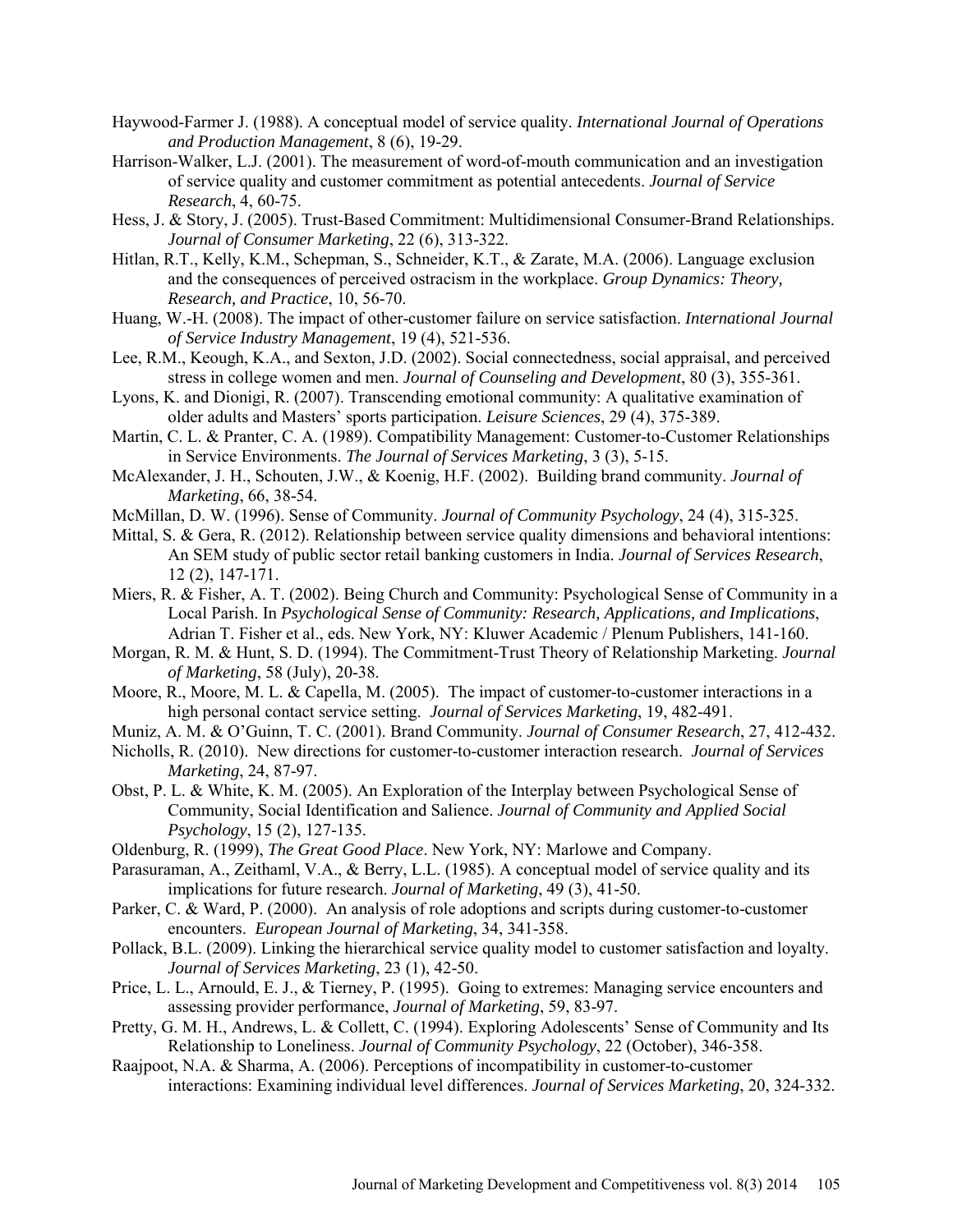- Haywood-Farmer J. (1988). A conceptual model of service quality. *International Journal of Operations and Production Management*, 8 (6), 19-29.
- Harrison-Walker, L.J. (2001). The measurement of word-of-mouth communication and an investigation of service quality and customer commitment as potential antecedents. *Journal of Service Research*, 4, 60-75.
- Hess, J. & Story, J. (2005). Trust-Based Commitment: Multidimensional Consumer-Brand Relationships. *Journal of Consumer Marketing*, 22 (6), 313-322.
- Hitlan, R.T., Kelly, K.M., Schepman, S., Schneider, K.T., & Zarate, M.A. (2006). Language exclusion and the consequences of perceived ostracism in the workplace. *Group Dynamics: Theory, Research, and Practice*, 10, 56-70.
- Huang, W.-H. (2008). The impact of other-customer failure on service satisfaction. *International Journal of Service Industry Management*, 19 (4), 521-536.
- Lee, R.M., Keough, K.A., and Sexton, J.D. (2002). Social connectedness, social appraisal, and perceived stress in college women and men. *Journal of Counseling and Development*, 80 (3), 355-361.
- Lyons, K. and Dionigi, R. (2007). Transcending emotional community: A qualitative examination of older adults and Masters' sports participation. *Leisure Sciences*, 29 (4), 375-389.
- Martin, C. L. & Pranter, C. A. (1989). Compatibility Management: Customer-to-Customer Relationships in Service Environments. *The Journal of Services Marketing*, 3 (3), 5-15.
- McAlexander, J. H., Schouten, J.W., & Koenig, H.F. (2002). Building brand community. *Journal of Marketing*, 66, 38-54.
- McMillan, D. W. (1996). Sense of Community. *Journal of Community Psychology*, 24 (4), 315-325.
- Mittal, S. & Gera, R. (2012). Relationship between service quality dimensions and behavioral intentions: An SEM study of public sector retail banking customers in India. *Journal of Services Research*, 12 (2), 147-171.
- Miers, R. & Fisher, A. T. (2002). Being Church and Community: Psychological Sense of Community in a Local Parish. In *Psychological Sense of Community: Research, Applications, and Implications*, Adrian T. Fisher et al., eds. New York, NY: Kluwer Academic / Plenum Publishers, 141-160.
- Morgan, R. M. & Hunt, S. D. (1994). The Commitment-Trust Theory of Relationship Marketing. *Journal of Marketing*, 58 (July), 20-38.
- Moore, R., Moore, M. L. & Capella, M. (2005). The impact of customer-to-customer interactions in a high personal contact service setting. *Journal of Services Marketing*, 19, 482-491.
- Muniz, A. M. & O'Guinn, T. C. (2001). Brand Community. *Journal of Consumer Research*, 27, 412-432.
- Nicholls, R. (2010). New directions for customer-to-customer interaction research. *Journal of Services Marketing*, 24, 87-97.
- Obst, P. L. & White, K. M. (2005). An Exploration of the Interplay between Psychological Sense of Community, Social Identification and Salience. *Journal of Community and Applied Social Psychology*, 15 (2), 127-135.
- Oldenburg, R. (1999), *The Great Good Place*. New York, NY: Marlowe and Company.
- Parasuraman, A., Zeithaml, V.A., & Berry, L.L. (1985). A conceptual model of service quality and its implications for future research. *Journal of Marketing*, 49 (3), 41-50.
- Parker, C. & Ward, P. (2000). An analysis of role adoptions and scripts during customer-to-customer encounters. *European Journal of Marketing*, 34, 341-358.
- Pollack, B.L. (2009). Linking the hierarchical service quality model to customer satisfaction and loyalty. *Journal of Services Marketing*, 23 (1), 42-50.
- Price, L. L., Arnould, E. J., & Tierney, P. (1995). Going to extremes: Managing service encounters and assessing provider performance, *Journal of Marketing*, 59, 83-97.
- Pretty, G. M. H., Andrews, L. & Collett, C. (1994). Exploring Adolescents' Sense of Community and Its Relationship to Loneliness. *Journal of Community Psychology*, 22 (October), 346-358.
- Raajpoot, N.A. & Sharma, A. (2006). Perceptions of incompatibility in customer-to-customer interactions: Examining individual level differences. *Journal of Services Marketing*, 20, 324-332.